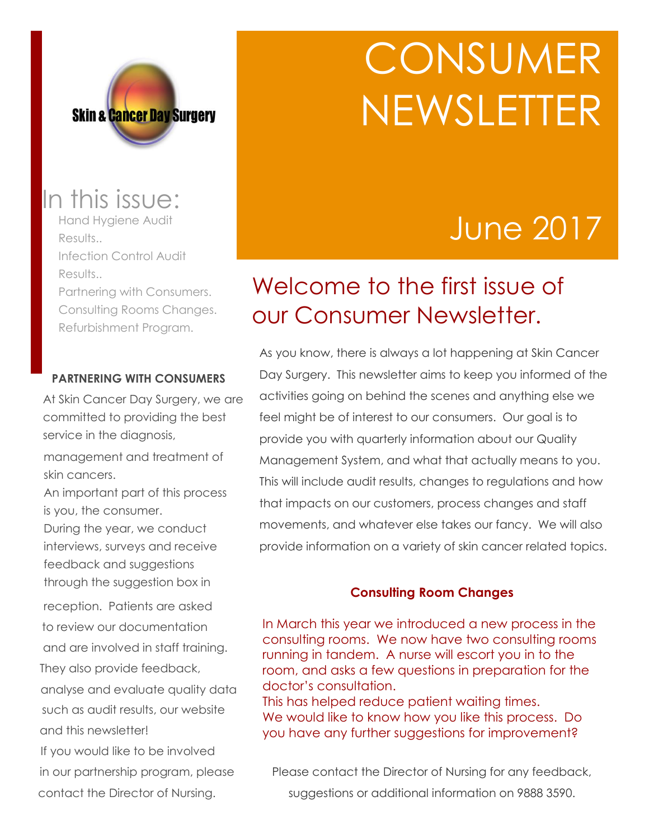

# **CONSUMER** NEWSLETTER

## June 2017

## Welcome to the first issue of our Consumer Newsletter.

As you know, there is always a lot happening at Skin Cancer Day Surgery. This newsletter aims to keep you informed of the activities going on behind the scenes and anything else we feel might be of interest to our consumers. Our goal is to provide you with quarterly information about our Quality Management System, and what that actually means to you. This will include audit results, changes to regulations and how that impacts on our customers, process changes and staff movements, and whatever else takes our fancy. We will also provide information on a variety of skin cancer related topics.

#### **Consulting Room Changes**

In March this year we introduced a new process in the consulting rooms. We now have two consulting rooms running in tandem. A nurse will escort you in to the room, and asks a few questions in preparation for the doctor's consultation.

This has helped reduce patient waiting times. We would like to know how you like this process. Do you have any further suggestions for improvement?

Please contact the Director of Nursing for any feedback, suggestions or additional information on 9888 3590.

## In this issue:

Hand Hygiene Audit Results.. Infection Control Audit Results.. Partnering with Consumers. Consulting Rooms Changes. Refurbishment Program.

#### **PARTNERING WITH CONSUMERS**

At Skin Cancer Day Surgery, we are committed to providing the best service in the diagnosis,

management and treatment of skin cancers.

An important part of this process is you, the consumer.

During the year, we conduct interviews, surveys and receive feedback and suggestions through the suggestion box in

reception. Patients are asked to review our documentation and are involved in staff training. They also provide feedback, analyse and evaluate quality data such as audit results, our website and this newsletter!

If you would like to be involved in our partnership program, please contact the Director of Nursing.